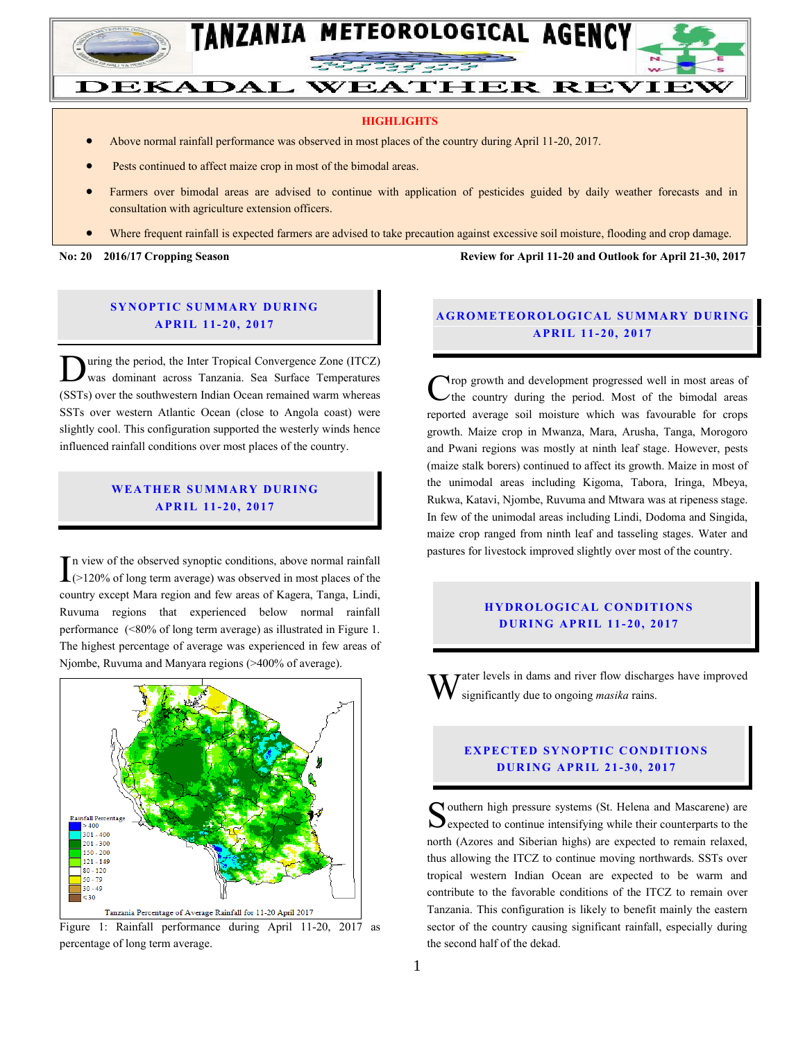

#### **HIGHLIGHTS**

- Above normal rainfall performance was observed in most places of the country during April 11-20, 2017.
- Pests continued to affect maize crop in most of the bimodal areas.
- Farmers over bimodal areas are advised to continue with application of pesticides guided by daily weather forecasts and in consultation with agriculture extension officers.
- Where frequent rainfall is expected farmers are advised to take precaution against excessive soil moisture, flooding and crop damage.

**No: 20 2016/17 Cropping Season Review for April 11-20 and Outlook for April 21-30, 2017**

### **SYNOPTIC SUMMARY DURING A PR IL 11- 20, 2017**

uring the period, the Inter Tropical Convergence Zone (ITCZ) was dominant across Tanzania. Sea Surface Temperatures (SSTs) over the southwestern Indian Ocean remained warm whereas SSTs over western Atlantic Ocean (close to Angola coast) were slightly cool. This configuration supported the westerly winds hence influenced rainfall conditions over most places of the country. D

### **WEA TH ER SU MMA RY D UR ING A PR IL 11- 20, 2017**

n view of the observed synoptic conditions, above normal rainfall In view of the observed synoptic conditions, above normal rainfall  $(>120\%$  of long term average) was observed in most places of the country except Mara region and few areas of Kagera, Tanga, Lindi, Ruvuma regions that experienced below normal rainfall performance (<80% of long term average) as illustrated in Figure 1. The highest percentage of average was experienced in few areas of Njombe, Ruvuma and Manyara regions (>400% of average).



Figure 1: Rainfall performance during April 11-20, 2017 as percentage of long term average.

## **A G RO METEO R O LOG ICA L SU MMA RY D UR ING A PR IL 1 1- 20, 2017**

rop growth and development progressed well in most areas of  $\angle$  the country during the period. Most of the bimodal areas reported average soil moisture which was favourable for crops growth. Maize crop in Mwanza, Mara, Arusha, Tanga, Morogoro and Pwani regions was mostly at ninth leaf stage. However, pests (maize stalk borers) continued to affect its growth. Maize in most of the unimodal areas including Kigoma, Tabora, Iringa, Mbeya, Rukwa, Katavi, Njombe, Ruvuma and Mtwara was at ripeness stage. In few of the unimodal areas including Lindi, Dodoma and Singida, maize crop ranged from ninth leaf and tasseling stages. Water and pastures for livestock improved slightly over most of the country. C

### **HYDROLOGICAL CONDITIONS D UR ING A PR IL 11- 20 , 2017**

ater levels in dams and river flow discharges have improved significantly due to ongoing *masika* rains. W

## **EXPECTED SYNOPTIC CONDITIONS D UR ING A PR IL 21- 30 , 2017**

**T** outhern high pressure systems (St. Helena and Mascarene) are Southern high pressure systems (St. Helena and Mascarene) are<br>
Sexpected to continue intensifying while their counterparts to the north (Azores and Siberian highs) are expected to remain relaxed, thus allowing the ITCZ to continue moving northwards. SSTs over tropical western Indian Ocean are expected to be warm and contribute to the favorable conditions of the ITCZ to remain over Tanzania. This configuration is likely to benefit mainly the eastern sector of the country causing significant rainfall, especially during the second half of the dekad.